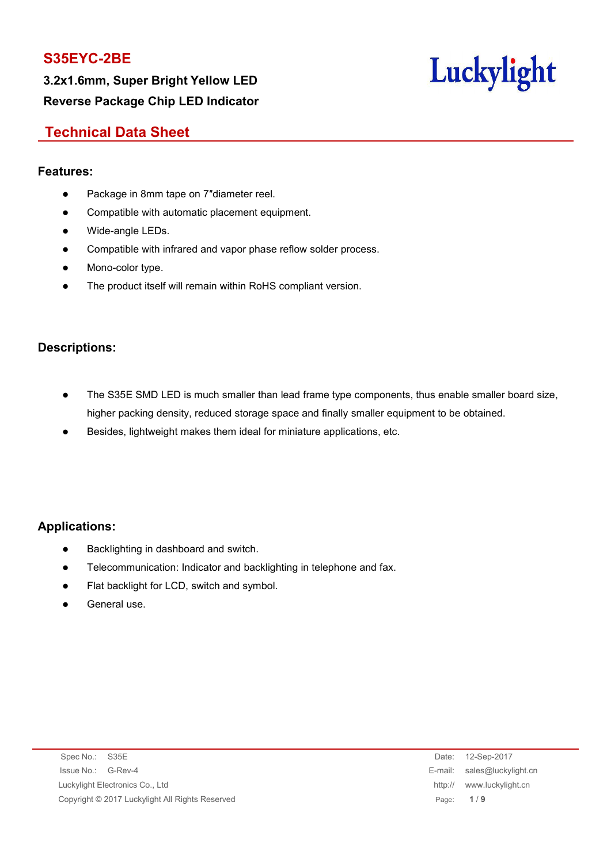**3.2x1.6mm, Super Bright Yellow LED Reverse Package Chip LED Indicator**



## **Technical Data Sheet**

### **Features:**

- Package in 8mm tape on 7"diameter reel.
- Compatible with automatic placement equipment.
- Wide-angle LEDs.
- Compatible with infrared and vapor phase reflow solder process.
- Mono-color type.
- The product itself will remain within RoHS compliant version.

### **Descriptions:**

- The S35E SMD LED is much smaller than lead frame type components, thus enable smaller board size, higher packing density, reduced storage space and finally smaller equipment to be obtained.
- Besides, lightweight makes them ideal for miniature applications, etc.

### **Applications:**

- Backlighting in dashboard and switch.
- Telecommunication: Indicator and backlighting in telephone and fax.
- Flat backlight for LCD, switch and symbol.
- General use.

| Spec No.: S35E                                  |             | Date: 12-Sep-2017           |
|-------------------------------------------------|-------------|-----------------------------|
| Issue No.: G-Rev-4                              |             | E-mail: sales@luckylight.cn |
| Luckylight Electronics Co., Ltd                 | http://     | www.luckylight.cn           |
| Copyright © 2017 Luckylight All Rights Reserved | Page: $1/9$ |                             |

Date: 12-Sep-2017 E-mail: sales@luckylight.cn http:// www.luckylight.cn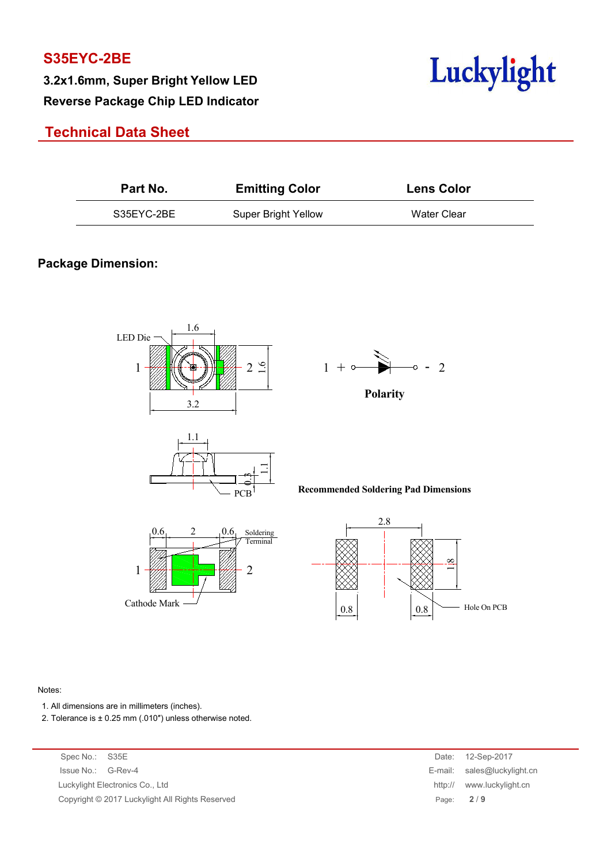**Reverse Package Chip LED Indicator**



## **Technical Data Sheet**

| Part No.   | <b>Emitting Color</b>      | <b>Lens Color</b> |  |
|------------|----------------------------|-------------------|--|
| S35EYC-2BE | <b>Super Bright Yellow</b> | Water Clear       |  |

### **Package Dimension:**



#### Notes:

- 1. All dimensions are in millimeters (inches).
- 2. Tolerance is  $\pm$  0.25 mm (.010") unless otherwise noted.

| Spec No.: S35E |                                                 |         | Date: 12-Sep-2017           |
|----------------|-------------------------------------------------|---------|-----------------------------|
|                | Issue No.: G-Rev-4                              |         | E-mail: sales@luckylight.cn |
|                | Luckylight Electronics Co., Ltd                 | http:// | www.luckylight.cn           |
|                | Copyright © 2017 Luckylight All Rights Reserved |         | Page: $2/9$                 |
|                |                                                 |         |                             |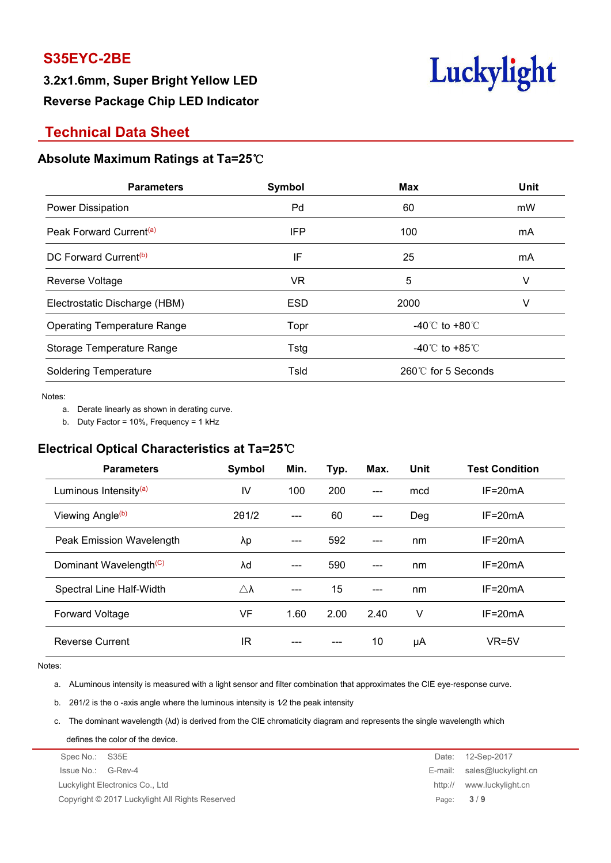**3.2x1.6mm, Super Bright Yellow LED Reverse Package Chip LED Indicator**



## **Technical Data Sheet**

#### **Absolute Maximum Ratings at Ta=25**℃

| <b>Parameters</b>                   | Symbol     | <b>Max</b>                         | Unit |
|-------------------------------------|------------|------------------------------------|------|
| Power Dissipation                   | Pd         | 60                                 | mW   |
| Peak Forward Current <sup>(a)</sup> | IFP        | 100                                | mA   |
| DC Forward Current <sup>(b)</sup>   | IF         | 25                                 | mA   |
| Reverse Voltage                     | <b>VR</b>  | 5                                  | V    |
| Electrostatic Discharge (HBM)       | <b>ESD</b> | 2000                               | V    |
| <b>Operating Temperature Range</b>  | Topr       | -40℃ to +80℃                       |      |
| Storage Temperature Range           | Tstg       | -40 $\degree$ C to +85 $\degree$ C |      |
| <b>Soldering Temperature</b>        | Tsld       | 260℃ for 5 Seconds                 |      |
|                                     |            |                                    |      |

Notes:<br>a. Derate linearly as shown in derating curve.

b. Duty Factor = 10%, Frequency = 1 kHz

### **Electrical Optical Characteristics at Ta=25**℃

| <b>Parameters</b>                  | Symbol              | Min. | Typ. | Max.  | <b>Unit</b> | <b>Test Condition</b> |
|------------------------------------|---------------------|------|------|-------|-------------|-----------------------|
| Luminous Intensity <sup>(a)</sup>  | IV                  | 100  | 200  | $---$ | mcd         | $IF = 20mA$           |
| Viewing Angle <sup>(b)</sup>       | 201/2               | ---  | 60   | $---$ | Deg         | $IF = 20mA$           |
| Peak Emission Wavelength           | λp                  | ---  | 592  | $---$ | nm          | $IF = 20mA$           |
| Dominant Wavelength <sup>(C)</sup> | λd                  | ---  | 590  | $---$ | nm          | $IF = 20mA$           |
| Spectral Line Half-Width           | $\triangle \lambda$ | ---  | 15   | $---$ | nm          | $IF = 20mA$           |
| <b>Forward Voltage</b>             | VF                  | 1.60 | 2.00 | 2.40  | V           | $IF = 20mA$           |
| <b>Reverse Current</b>             | IR                  | ---  | ---  | 10    | μA          | $VR=5V$               |

Notes:

a. ALuminous intensity is measured with a light sensor and filter combination that approximates the CIE eye-response curve.

b. 2θ1/2 is the o -axis angle where the luminous intensity is 1⁄2 the peak intensity

c. The dominant wavelength (λd) is derived from the CIE chromaticity diagram and represents the single wavelength which

defines the color of the device.

| Spec No.: S35E                                  | Date: | 12-Sep-2017                 |
|-------------------------------------------------|-------|-----------------------------|
| Issue No.: G-Rev-4                              |       | E-mail: sales@luckylight.cn |
| Luckylight Electronics Co., Ltd                 |       | http:// www.luckylight.cn   |
| Copyright © 2017 Luckylight All Rights Reserved |       | Page: $3/9$                 |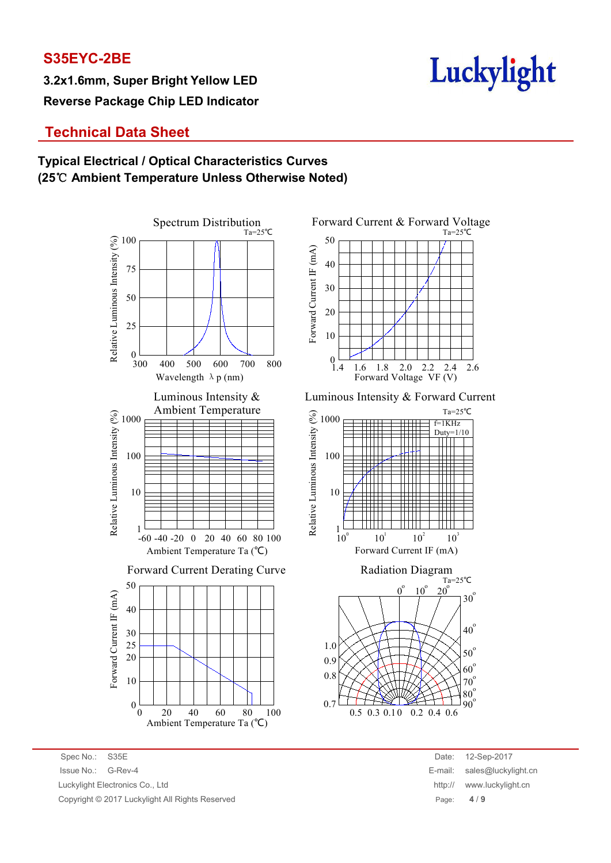**3.2x1.6mm, Super Bright Yellow LED Reverse Package Chip LED Indicator**



## **Technical Data Sheet**

### **Typical Electrical / Optical Characteristics Curves (25**℃ **Ambient Temperature Unless Otherwise Noted)**



Spectrum Distribution Forward Current & Forward Voltage  $\begin{array}{c|c}\n\text{O} & 20 \\
\text{N} & 10 \\
\text{A} & 10\n\end{array}$  $\frac{12}{12}$  40<br> $\frac{12}{30}$ <br> $\frac{12}{30}$ Forward Current IF (mA) Ta=25℃  $0$   $1.4$   $1.6$   $1.8$   $2.0$   $2.2$   $2.4$  $10$   $+$   $+$   $+$   $+$   $+$   $+$   $+$ 20  $\begin{array}{cc} \begin{array}{ccc} \textcolor{blue}{\mathbf +} & \textcolor{blue}{\mathbf +} & \textcolor{blue}{\mathbf +} & \textcolor{blue}{\mathbf +} & \textcolor{blue}{\mathbf +} \\ \textcolor{blue}{\mathbf -} & \textcolor{blue}{\mathbf -} & \textcolor{blue}{\mathbf -} & \textcolor{blue}{\mathbf -} \end{array} \end{array}$ 30 40  $50$   $\overline{\phantom{0}}$ 1.4 1.6 1.8 2.0 2.2 2.4 Forward Voltage VF (V) 2.6

Luminous Intensity & Cuminous Intensity & Forward Current





Spec No.: S35E Date: 12-Sep-2017 Issue No.: G-Rev-4 E-mail: sales@luckylight.cn Luckylight Electronics Co., Ltd **http:// www.luckylight.cn** http:// www.luckylight.cn Copyright © 2017 Luckylight All Rights Reserved Page: **4** / **9**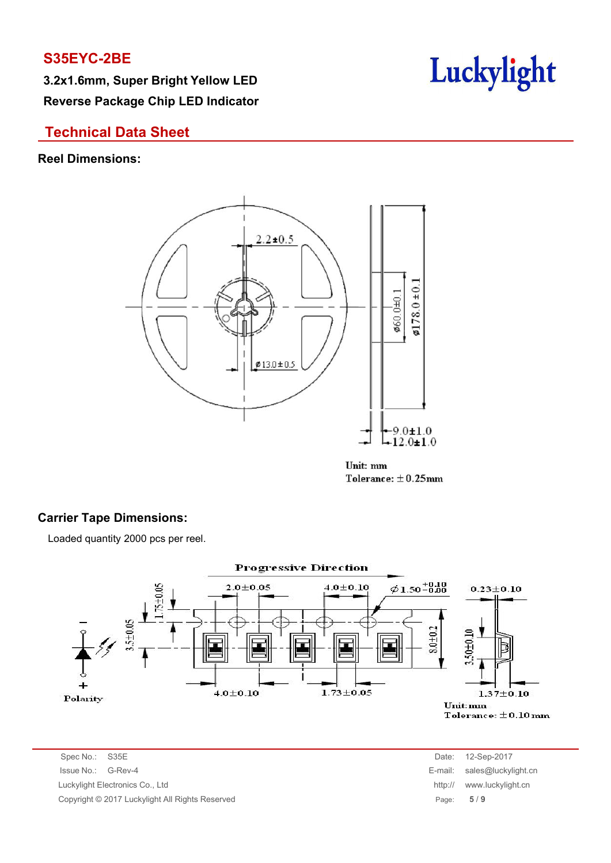**3.2x1.6mm, Super Bright Yellow LED Reverse Package Chip LED Indicator**



## **Technical Data Sheet**

### **Reel Dimensions:**



Unit: mm Tolerance:  $\pm$  0.25mm

### **Carrier Tape Dimensions:**

Loaded quantity 2000 pcs per reel.



Spec No.: S35E Date: 12-Sep-2017 Issue No.: G-Rev-4 Luckylight Electronics Co., Ltd. Copyright © 2017 Luckylight All Rights Reserved

| Date:   | 12-Sep-2017         |
|---------|---------------------|
| E-mail: | sales@luckylight.cn |
| http:// | www.luckylight.cn   |
| Page:   | 5/9                 |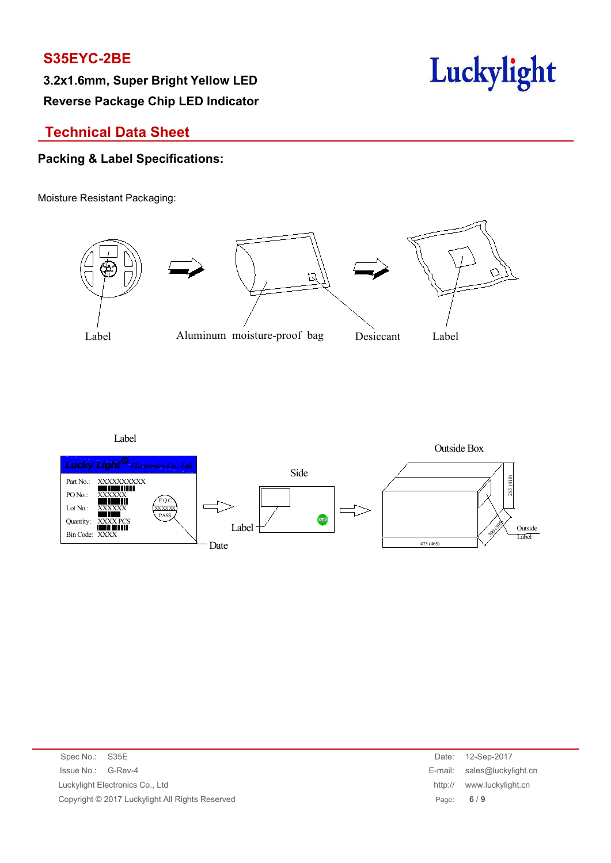**Reverse Package Chip LED Indicator**



## **Technical Data Sheet**

### **Packing & Label Specifications:**

Moisture Resistant Packaging:







| Spec No.: S35E                                  | Date:   | 12-Sep-2017                 |
|-------------------------------------------------|---------|-----------------------------|
| Issue No.: G-Rev-4                              |         | E-mail: sales@luckylight.cn |
| Luckylight Electronics Co., Ltd                 | http:// | www.luckylight.cn           |
| Copyright © 2017 Luckylight All Rights Reserved |         | Page: $6/9$                 |
|                                                 |         |                             |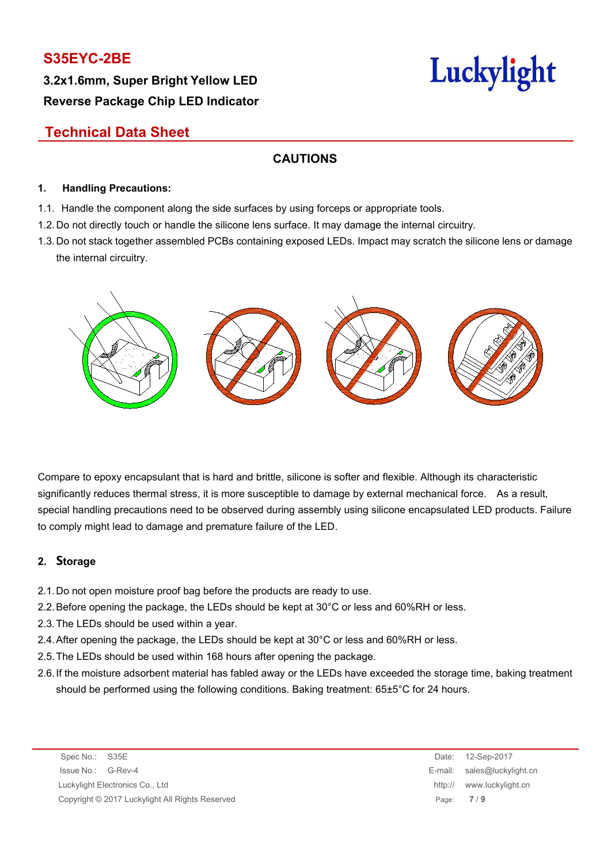**3.2x1.6mm, Super Bright Yellow LED Reverse Package Chip LED Indicator**



## **Technical Data Sheet**

### **CAUTIONS**

#### **1. Handling Precautions:**

- 1.1. Handle the component along the side surfaces by using forceps or appropriate tools.
- 1.2. Do not directly touch or handle the silicone lens surface. It may damage the internal circuitry.
- 1.3. Do not stack together assembled PCBs containing exposed LEDs. Impact may scratch the silicone lens or damage the internal circuitry.



Compare to epoxy encapsulant that is hard and brittle, silicone is softer and flexible. Although its characteristic significantly reduces thermal stress, it is more susceptible to damage by external mechanical force. As a result, special handling precautions need to be observed during assembly using silicone encapsulated LED products. Failure to comply might lead to damage and premature failure of the LED.

#### **2. Storage**

- 2.1.Do not open moisture proof bag before the products are ready to use.
- 2.2.Before opening the package, the LEDs should be kept at 30°C or less and 60%RH or less.
- 2.3.The LEDs should be used within a year.
- 2.4.After opening the package, the LEDs should be kept at 30°C or less and 60%RH or less.
- 2.5.The LEDs should be used within 168 hours after opening the package.
- 2.6.If the moisture adsorbent material has fabled away or the LEDs have exceeded the storage time, baking treatment should be performed using the following conditions. Baking treatment: 65±5°C for 24 hours.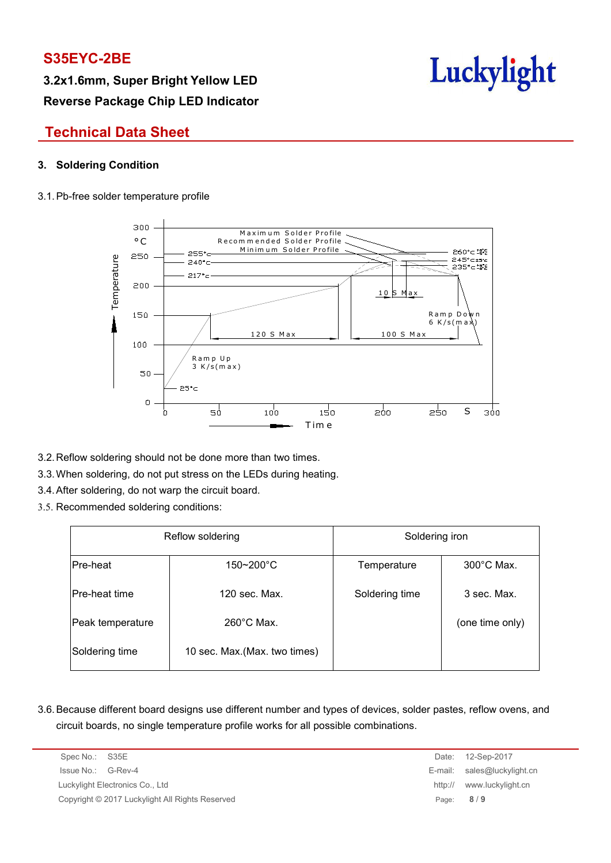**3.2x1.6mm, Super Bright Yellow LED Reverse Package Chip LED Indicator**



## **Technical Data Sheet**

### **3. Soldering Condition**

#### 3.1.Pb-free solder temperature profile



- 3.2.Reflow soldering should not be done more than two times.
- 3.3.When soldering, do not put stress on the LEDs during heating.
- 3.4.After soldering, do not warp the circuit board.
- 3.5. Recommended soldering conditions:

|                  | Reflow soldering              | Soldering iron |                      |  |  |
|------------------|-------------------------------|----------------|----------------------|--|--|
| Pre-heat         | $150 - 200^{\circ}$ C         | Temperature    | $300^{\circ}$ C Max. |  |  |
| Pre-heat time    | 120 sec. Max.                 | Soldering time | 3 sec. Max.          |  |  |
| Peak temperature | $260^{\circ}$ C Max.          |                | (one time only)      |  |  |
| Soldering time   | 10 sec. Max. (Max. two times) |                |                      |  |  |

3.6.Because different board designs use different number and types of devices, solder pastes, reflow ovens, and circuit boards, no single temperature profile works for all possible combinations.

| Spec No.: S35E                                  | Date:       | 12-Sep-2017                 |
|-------------------------------------------------|-------------|-----------------------------|
| Issue No.: G-Rev-4                              |             | E-mail: sales@luckylight.cn |
| Luckylight Electronics Co., Ltd                 |             | http:// www.luckylight.cn   |
| Copyright © 2017 Luckylight All Rights Reserved | Page: $8/9$ |                             |

E-mail: sales@luckylight.cn http:// www.luckylight.cn